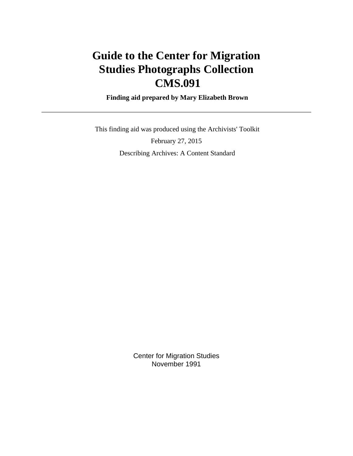# **Guide to the Center for Migration Studies Photographs Collection CMS.091**

 **Finding aid prepared by Mary Elizabeth Brown**

 This finding aid was produced using the Archivists' Toolkit February 27, 2015 Describing Archives: A Content Standard

> Center for Migration Studies November 1991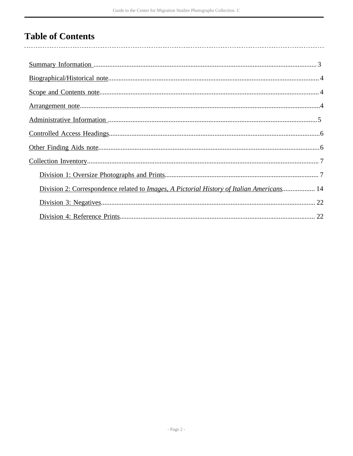# **Table of Contents**

| Division 2: Correspondence related to Images, A Pictorial History of Italian Americans 14 |  |
|-------------------------------------------------------------------------------------------|--|
|                                                                                           |  |
|                                                                                           |  |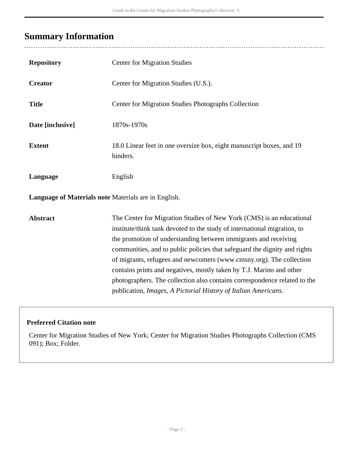## <span id="page-2-0"></span>**Summary Information**

| <b>Repository</b>                                    | <b>Center for Migration Studies</b>                                                                                                                                                                                                                                                                                                                                                                                                                                                                                                                                                            |
|------------------------------------------------------|------------------------------------------------------------------------------------------------------------------------------------------------------------------------------------------------------------------------------------------------------------------------------------------------------------------------------------------------------------------------------------------------------------------------------------------------------------------------------------------------------------------------------------------------------------------------------------------------|
| <b>Creator</b>                                       | Center for Migration Studies (U.S.).                                                                                                                                                                                                                                                                                                                                                                                                                                                                                                                                                           |
| <b>Title</b>                                         | Center for Migration Studies Photographs Collection                                                                                                                                                                                                                                                                                                                                                                                                                                                                                                                                            |
| Date [inclusive]                                     | 1870s-1970s                                                                                                                                                                                                                                                                                                                                                                                                                                                                                                                                                                                    |
| <b>Extent</b>                                        | 18.0 Linear feet in one oversize box, eight manuscript boxes, and 19<br>binders.                                                                                                                                                                                                                                                                                                                                                                                                                                                                                                               |
| Language                                             | English                                                                                                                                                                                                                                                                                                                                                                                                                                                                                                                                                                                        |
| Language of Materials note Materials are in English. |                                                                                                                                                                                                                                                                                                                                                                                                                                                                                                                                                                                                |
| <b>Abstract</b>                                      | The Center for Migration Studies of New York (CMS) is an educational<br>institute/think tank devoted to the study of international migration, to<br>the promotion of understanding between immigrants and receiving<br>communities, and to public policies that safeguard the dignity and rights<br>of migrants, refugees and newcomers (www.cmsny.org). The collection<br>contains prints and negatives, mostly taken by T.J. Marino and other<br>photographers. The collection also contains correspondence related to the<br>publication, Images, A Pictorial History of Italian Americans. |

### **Preferred Citation note**

Center for Migration Studies of New York; Center for Migration Studies Photographs Collection (CMS 091); Box; Folder.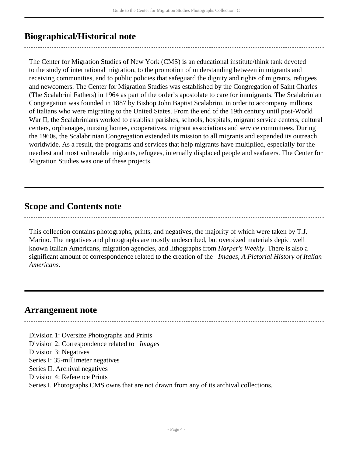## <span id="page-3-0"></span>**Biographical/Historical note**

The Center for Migration Studies of New York (CMS) is an educational institute/think tank devoted to the study of international migration, to the promotion of understanding between immigrants and receiving communities, and to public policies that safeguard the dignity and rights of migrants, refugees and newcomers. The Center for Migration Studies was established by the Congregation of Saint Charles (The Scalabrini Fathers) in 1964 as part of the order's apostolate to care for immigrants. The Scalabrinian Congregation was founded in 1887 by Bishop John Baptist Scalabrini, in order to accompany millions of Italians who were migrating to the United States. From the end of the 19th century until post-World War II, the Scalabrinians worked to establish parishes, schools, hospitals, migrant service centers, cultural centers, orphanages, nursing homes, cooperatives, migrant associations and service committees. During the 1960s, the Scalabrinian Congregation extended its mission to all migrants and expanded its outreach worldwide. As a result, the programs and services that help migrants have multiplied, especially for the neediest and most vulnerable migrants, refugees, internally displaced people and seafarers. The Center for Migration Studies was one of these projects.

### <span id="page-3-1"></span>**Scope and Contents note**

This collection contains photographs, prints, and negatives, the majority of which were taken by T.J. Marino. The negatives and photographs are mostly undescribed, but oversized materials depict well known Italian Americans, migration agencies, and lithographs from *Harper's Weekly*. There is also a significant amount of correspondence related to the creation of the *Images, A Pictorial History of Italian Americans*.

### <span id="page-3-2"></span>**Arrangement note**

Division 1: Oversize Photographs and Prints Division 2: Correspondence related to *Images* Division 3: Negatives Series I: 35-millimeter negatives Series II. Archival negatives Division 4: Reference Prints Series I. Photographs CMS owns that are not drawn from any of its archival collections.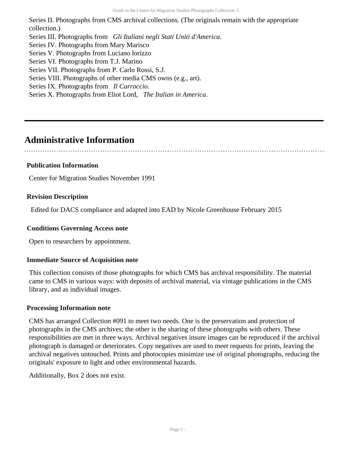Series II. Photographs from CMS archival collections. (The originals remain with the appropriate collection.) Series III. Photographs from *Gli Italiani negli Stati Uniti d'America*. Series IV. Photographs from Mary Marisco Series V. Photographs from Luciano lorizzo Series VI. Photographs from T.J. Marino Series VII. Photographs from P. Carlo Rossi, S.J. Series VIII. Photographs of other media CMS owns (e.g., art). Series IX. Photographs from *Il Carroccio*. Series X. Photographs from Eliot Lord, *The Italian in America*.

### <span id="page-4-0"></span>**Administrative Information**

### **Publication Information**

Center for Migration Studies November 1991

### **Revision Description**

Edited for DACS compliance and adapted into EAD by Nicole Greenhouse February 2015

### **Conditions Governing Access note**

Open to researchers by appointment.

### **Immediate Source of Acquisition note**

This collection consists of those photographs for which CMS has archival responsibility. The material came to CMS in various ways: with deposits of archival material, via vintage publications in the CMS library, and as individual images.

#### **Processing Information note**

CMS has arranged Collection #091 to meet two needs. One is the preservation and protection of photographs in the CMS archives; the other is the sharing of these photographs with others. These responsibilities are met in three ways. Archival negatives insure images can be reproduced if the archival photograph is damaged or deteriorates. Copy negatives are used to meet requests for prints, leaving the archival negatives untouched. Prints and photocopies minimize use of original photographs, reducing the originals' exposure to light and other environmental hazards.

Additionally, Box 2 does not exist.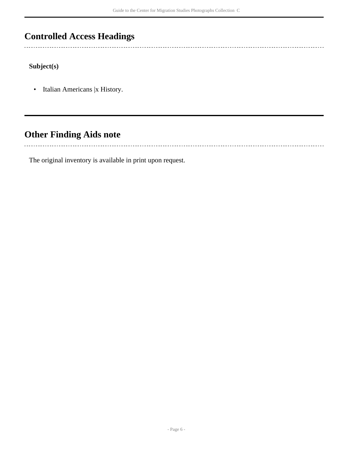## <span id="page-5-0"></span>**Controlled Access Headings**

**Subject(s)**

• Italian Americans |x History.

## <span id="page-5-1"></span>**Other Finding Aids note**

The original inventory is available in print upon request.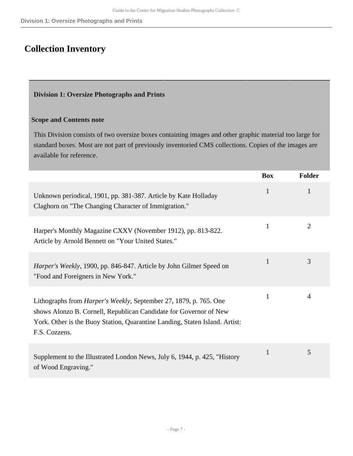## <span id="page-6-0"></span>**Collection Inventory**

### <span id="page-6-1"></span>**Division 1: Oversize Photographs and Prints**

### **Scope and Contents note**

This Division consists of two oversize boxes containing images and other graphic material too large for standard boxes. Most are not part of previously inventoried CMS collections. Copies of the images are available for reference.

|                                                                                                                                                                                                                                                | <b>Box</b>   | <b>Folder</b>  |
|------------------------------------------------------------------------------------------------------------------------------------------------------------------------------------------------------------------------------------------------|--------------|----------------|
| Unknown periodical, 1901, pp. 381-387. Article by Kate Holladay<br>Claghorn on "The Changing Character of Immigration."                                                                                                                        | 1            | 1              |
| Harper's Monthly Magazine CXXV (November 1912), pp. 813-822.<br>Article by Arnold Bennett on "Your United States."                                                                                                                             | $\mathbf{1}$ | $\overline{2}$ |
| Harper's Weekly, 1900, pp. 846-847. Article by John Gilmer Speed on<br>"Food and Foreigners in New York."                                                                                                                                      | 1            | 3              |
| Lithographs from <i>Harper's Weekly</i> , September 27, 1879, p. 765. One<br>shows Alonzo B. Cornell, Republican Candidate for Governor of New<br>York. Other is the Buoy Station, Quarantine Landing, Staten Island. Artist:<br>F.S. Cozzens. | $\mathbf{1}$ | $\overline{4}$ |
| Supplement to the Illustrated London News, July 6, 1944, p. 425, "History<br>of Wood Engraving."                                                                                                                                               | $\mathbf{1}$ | 5              |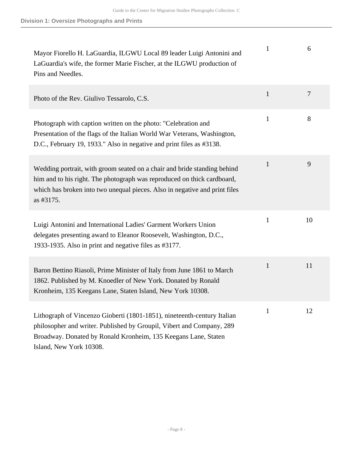| Mayor Fiorello H. LaGuardia, ILGWU Local 89 leader Luigi Antonini and<br>LaGuardia's wife, the former Marie Fischer, at the ILGWU production of<br>Pins and Needles.                                                                           | 1            | 6              |
|------------------------------------------------------------------------------------------------------------------------------------------------------------------------------------------------------------------------------------------------|--------------|----------------|
| Photo of the Rev. Giulivo Tessarolo, C.S.                                                                                                                                                                                                      | $\mathbf{1}$ | $\overline{7}$ |
| Photograph with caption written on the photo: "Celebration and<br>Presentation of the flags of the Italian World War Veterans, Washington,<br>D.C., February 19, 1933." Also in negative and print files as #3138.                             | $\mathbf{1}$ | 8              |
| Wedding portrait, with groom seated on a chair and bride standing behind<br>him and to his right. The photograph was reproduced on thick cardboard,<br>which has broken into two unequal pieces. Also in negative and print files<br>as #3175. | $\mathbf{1}$ | 9              |
| Luigi Antonini and International Ladies' Garment Workers Union<br>delegates presenting award to Eleanor Roosevelt, Washington, D.C.,<br>1933-1935. Also in print and negative files as #3177.                                                  | $\mathbf{1}$ | 10             |
| Baron Bettino Riasoli, Prime Minister of Italy from June 1861 to March<br>1862. Published by M. Knoedler of New York. Donated by Ronald<br>Kronheim, 135 Keegans Lane, Staten Island, New York 10308.                                          | $\mathbf{1}$ | 11             |
| Lithograph of Vincenzo Gioberti (1801-1851), nineteenth-century Italian<br>philosopher and writer. Published by Groupil, Vibert and Company, 289<br>Broadway. Donated by Ronald Kronheim, 135 Keegans Lane, Staten<br>Island, New York 10308.  | 1            | 12             |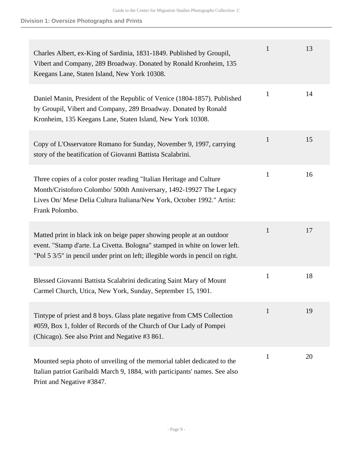| Charles Albert, ex-King of Sardinia, 1831-1849. Published by Groupil,<br>Vibert and Company, 289 Broadway. Donated by Ronald Kronheim, 135<br>Keegans Lane, Staten Island, New York 10308.                                              | 1            | 13 |
|-----------------------------------------------------------------------------------------------------------------------------------------------------------------------------------------------------------------------------------------|--------------|----|
| Daniel Manin, President of the Republic of Venice (1804-1857). Published<br>by Groupil, Vibert and Company, 289 Broadway. Donated by Ronald<br>Kronheim, 135 Keegans Lane, Staten Island, New York 10308.                               | 1            | 14 |
| Copy of L'Osservatore Romano for Sunday, November 9, 1997, carrying<br>story of the beatification of Giovanni Battista Scalabrini.                                                                                                      | $\mathbf{1}$ | 15 |
| Three copies of a color poster reading "Italian Heritage and Culture"<br>Month/Cristoforo Colombo/ 500th Anniversary, 1492-19927 The Legacy<br>Lives On/ Mese Delia Cultura Italiana/New York, October 1992." Artist:<br>Frank Polombo. | $\mathbf{1}$ | 16 |
| Matted print in black ink on beige paper showing people at an outdoor<br>event. "Stamp d'arte. La Civetta. Bologna" stamped in white on lower left.<br>"Pol 5 3/5" in pencil under print on left; illegible words in pencil on right.   | $\mathbf{1}$ | 17 |
| Blessed Giovanni Battista Scalabrini dedicating Saint Mary of Mount<br>Carmel Church, Utica, New York, Sunday, September 15, 1901.                                                                                                      | $\mathbf{1}$ | 18 |
| Tintype of priest and 8 boys. Glass plate negative from CMS Collection<br>#059, Box 1, folder of Records of the Church of Our Lady of Pompei<br>(Chicago). See also Print and Negative #3 861.                                          | 1            | 19 |
| Mounted sepia photo of unveiling of the memorial tablet dedicated to the<br>Italian patriot Garibaldi March 9, 1884, with participants' names. See also<br>Print and Negative #3847.                                                    | $\mathbf{1}$ | 20 |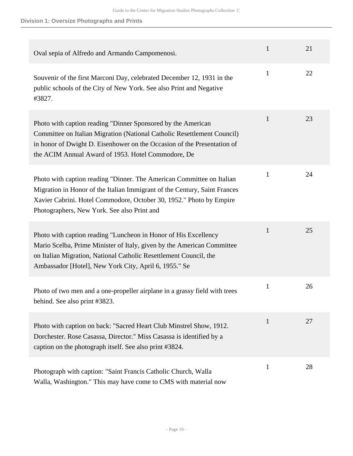| Oval sepia of Alfredo and Armando Campomenosi.                                                                                                                                                                                                                           | $\mathbf{1}$ | 21 |
|--------------------------------------------------------------------------------------------------------------------------------------------------------------------------------------------------------------------------------------------------------------------------|--------------|----|
| Souvenir of the first Marconi Day, celebrated December 12, 1931 in the<br>public schools of the City of New York. See also Print and Negative<br>#3827.                                                                                                                  | $\mathbf{1}$ | 22 |
| Photo with caption reading "Dinner Sponsored by the American<br>Committee on Italian Migration (National Catholic Resettlement Council)<br>in honor of Dwight D. Eisenhower on the Occasion of the Presentation of<br>the ACIM Annual Award of 1953. Hotel Commodore, De | $\mathbf{1}$ | 23 |
| Photo with caption reading "Dinner. The American Committee on Italian<br>Migration in Honor of the Italian Immigrant of the Century, Saint Frances<br>Xavier Cabrini. Hotel Commodore, October 30, 1952." Photo by Empire<br>Photographers, New York. See also Print and | $\mathbf{1}$ | 24 |
| Photo with caption reading "Luncheon in Honor of His Excellency<br>Mario Scelba, Prime Minister of Italy, given by the American Committee<br>on Italian Migration, National Catholic Resettlement Council, the<br>Ambassador [Hotel], New York City, April 6, 1955." Se  | $\mathbf{1}$ | 25 |
| Photo of two men and a one-propeller airplane in a grassy field with trees<br>behind. See also print #3823.                                                                                                                                                              | $\mathbf{1}$ | 26 |
| Photo with caption on back: "Sacred Heart Club Minstrel Show, 1912.<br>Dorchester. Rose Casassa, Director." Miss Casassa is identified by a<br>caption on the photograph itself. See also print #3824.                                                                   | 1            | 27 |
| Photograph with caption: "Saint Francis Catholic Church, Walla<br>Welle, Weshington "This may have some to CMC with metand now                                                                                                                                           | $\mathbf{1}$ | 28 |

Walla, Washington." This may have come to CMS with material now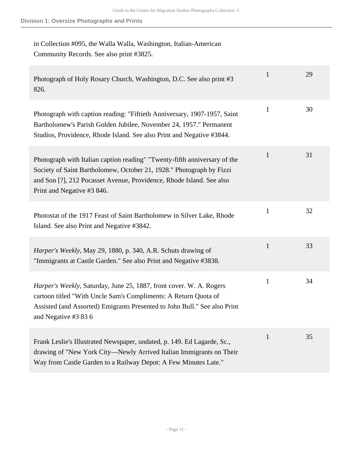### in Collection #095, the Walla Walla, Washington, Italian-American Community Records. See also print #3825.

| Photograph of Holy Rosary Church, Washington, D.C. See also print #3<br>826.                                                                                                                                                                            | $\mathbf{1}$ | 29 |
|---------------------------------------------------------------------------------------------------------------------------------------------------------------------------------------------------------------------------------------------------------|--------------|----|
| Photograph with caption reading: "Fiftieth Anniversary, 1907-1957, Saint<br>Bartholomew's Parish Golden Jubilee, November 24, 1957." Permanent<br>Studios, Providence, Rhode Island. See also Print and Negative #3844.                                 | $\mathbf{1}$ | 30 |
| Photograph with Italian caption reading" "Twenty-fifth anniversary of the<br>Society of Saint Bartholomew, October 21, 1928." Photograph by Fizzi<br>and Son [?], 212 Pocasset Avenue, Providence, Rhode Island. See also<br>Print and Negative #3 846. | $\mathbf{1}$ | 31 |
| Photostat of the 1917 Feast of Saint Bartholomew in Silver Lake, Rhode<br>Island. See also Print and Negative #3842.                                                                                                                                    | $\mathbf{1}$ | 32 |
| Harper's Weekly, May 29, 1880, p. 340, A.R. Schuts drawing of<br>"Immigrants at Castle Garden." See also Print and Negative #3838.                                                                                                                      | $\mathbf{1}$ | 33 |
| Harper's Weekly, Saturday, June 25, 1887, front cover. W. A. Rogers<br>cartoon titled "With Uncle Sam's Compliments: A Return Quota of<br>Assisted (and Assorted) Emigrants Presented to John Bull." See also Print<br>and Negative #3 83 6             | $\mathbf{1}$ | 34 |
| Frank Leslie's Illustrated Newspaper, undated, p. 149. Ed Lagarde, Sc.,<br>drawing of "New York City-Newly Arrived Italian Immigrants on Their<br>Way from Castle Garden to a Railway Depot: A Few Minutes Late."                                       | $\mathbf{1}$ | 35 |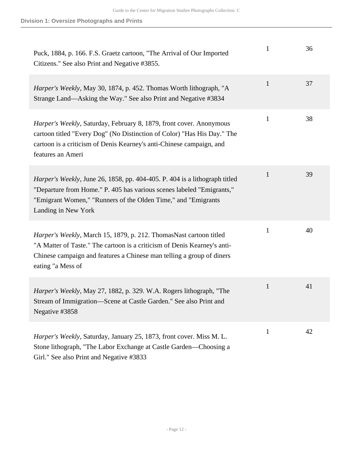| Puck, 1884, p. 166. F.S. Graetz cartoon, "The Arrival of Our Imported<br>Citizens." See also Print and Negative #3855.                                                                                                                               | 1            | 36 |
|------------------------------------------------------------------------------------------------------------------------------------------------------------------------------------------------------------------------------------------------------|--------------|----|
| Harper's Weekly, May 30, 1874, p. 452. Thomas Worth lithograph, "A<br>Strange Land—Asking the Way." See also Print and Negative #3834                                                                                                                | $\mathbf{1}$ | 37 |
| Harper's Weekly, Saturday, February 8, 1879, front cover. Anonymous<br>cartoon titled "Every Dog" (No Distinction of Color) "Has His Day." The<br>cartoon is a criticism of Denis Kearney's anti-Chinese campaign, and<br>features an Ameri          | $\mathbf{1}$ | 38 |
| <i>Harper's Weekly</i> , June 26, 1858, pp. 404-405. P. 404 is a lithograph titled<br>"Departure from Home." P. 405 has various scenes labeled "Emigrants,"<br>"Emigrant Women," "Runners of the Olden Time," and "Emigrants"<br>Landing in New York | $\mathbf{1}$ | 39 |
| Harper's Weekly, March 15, 1879, p. 212. ThomasNast cartoon titled<br>"A Matter of Taste." The cartoon is a criticism of Denis Kearney's anti-<br>Chinese campaign and features a Chinese man telling a group of diners<br>eating "a Mess of         | $\mathbf{1}$ | 40 |
| <i>Harper's Weekly, May 27, 1882, p. 329. W.A. Rogers lithograph, "The</i><br>Stream of Immigration-Scene at Castle Garden." See also Print and<br>Negative #3858                                                                                    | $\mathbf{1}$ | 41 |
| Harper's Weekly, Saturday, January 25, 1873, front cover. Miss M. L.<br>Stone lithograph, "The Labor Exchange at Castle Garden—Choosing a<br>Girl." See also Print and Negative #3833                                                                | $\mathbf{1}$ | 42 |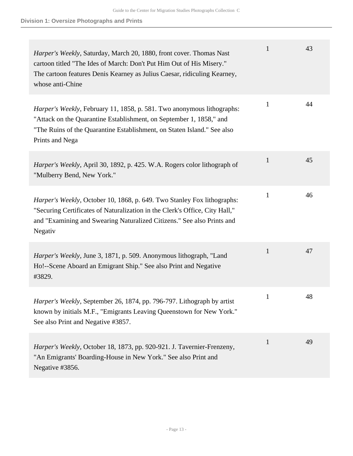| Harper's Weekly, Saturday, March 20, 1880, front cover. Thomas Nast<br>cartoon titled "The Ides of March: Don't Put Him Out of His Misery."<br>The cartoon features Denis Kearney as Julius Caesar, ridiculing Kearney,<br>whose anti-Chine | 1            | 43 |
|---------------------------------------------------------------------------------------------------------------------------------------------------------------------------------------------------------------------------------------------|--------------|----|
| Harper's Weekly, February 11, 1858, p. 581. Two anonymous lithographs:<br>"Attack on the Quarantine Establishment, on September 1, 1858," and<br>"The Ruins of the Quarantine Establishment, on Staten Island." See also<br>Prints and Nega | $\mathbf{1}$ | 44 |
| Harper's Weekly, April 30, 1892, p. 425. W.A. Rogers color lithograph of<br>"Mulberry Bend, New York."                                                                                                                                      | $\mathbf{1}$ | 45 |
| Harper's Weekly, October 10, 1868, p. 649. Two Stanley Fox lithographs:<br>"Securing Certificates of Naturalization in the Clerk's Office, City Hall,"<br>and "Examining and Swearing Naturalized Citizens." See also Prints and<br>Negativ | $\mathbf{1}$ | 46 |
| <i>Harper's Weekly</i> , June 3, 1871, p. 509. Anonymous lithograph, "Land<br>Ho!--Scene Aboard an Emigrant Ship." See also Print and Negative<br>#3829.                                                                                    | $\mathbf{1}$ | 47 |
| Harper's Weekly, September 26, 1874, pp. 796-797. Lithograph by artist<br>known by initials M.F., "Emigrants Leaving Queenstown for New York."<br>See also Print and Negative #3857.                                                        | $\mathbf{1}$ | 48 |
| Harper's Weekly, October 18, 1873, pp. 920-921. J. Tavernier-Frenzeny,<br>"An Emigrants' Boarding-House in New York." See also Print and<br>Negative #3856.                                                                                 | $\mathbf{1}$ | 49 |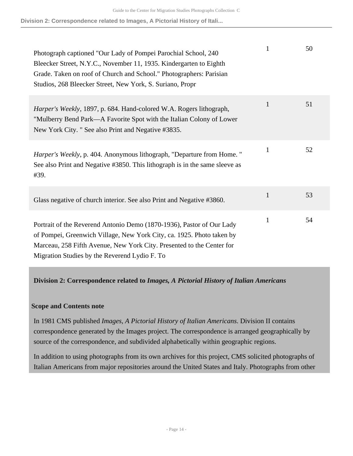| Photograph captioned "Our Lady of Pompei Parochial School, 240<br>Bleecker Street, N.Y.C., November 11, 1935. Kindergarten to Eighth<br>Grade. Taken on roof of Church and School." Photographers: Parisian<br>Studios, 268 Bleecker Street, New York, S. Suriano, Propr | 1            | 50 |
|--------------------------------------------------------------------------------------------------------------------------------------------------------------------------------------------------------------------------------------------------------------------------|--------------|----|
| Harper's Weekly, 1897, p. 684. Hand-colored W.A. Rogers lithograph,<br>"Mulberry Bend Park—A Favorite Spot with the Italian Colony of Lower<br>New York City. " See also Print and Negative #3835.                                                                       | $\mathbf{1}$ | 51 |
| <i>Harper's Weekly</i> , p. 404. Anonymous lithograph, "Departure from Home."<br>See also Print and Negative #3850. This lithograph is in the same sleeve as<br>#39.                                                                                                     | $\mathbf{1}$ | 52 |
| Glass negative of church interior. See also Print and Negative #3860.                                                                                                                                                                                                    | $\mathbf{1}$ | 53 |
| Portrait of the Reverend Antonio Demo (1870-1936), Pastor of Our Lady<br>of Pompei, Greenwich Village, New York City, ca. 1925. Photo taken by<br>Marceau, 258 Fifth Avenue, New York City. Presented to the Center for<br>Migration Studies by the Reverend Lydio F. To | $\mathbf{1}$ | 54 |

### <span id="page-13-0"></span>**Division 2: Correspondence related to** *Images, A Pictorial History of Italian Americans*

### **Scope and Contents note**

In 1981 CMS published *Images, A Pictorial History of Italian Americans*. Division II contains correspondence generated by the Images project. The correspondence is arranged geographically by source of the correspondence, and subdivided alphabetically within geographic regions.

In addition to using photographs from its own archives for this project, CMS solicited photographs of Italian Americans from major repositories around the United States and Italy. Photographs from other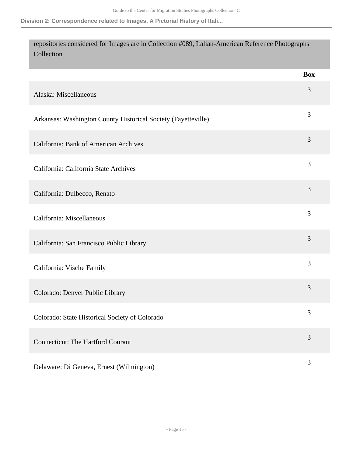| repositories considered for Images are in Collection #089, Italian-American Reference Photographs<br>Collection |            |
|-----------------------------------------------------------------------------------------------------------------|------------|
|                                                                                                                 | <b>Box</b> |
| Alaska: Miscellaneous                                                                                           | 3          |
| Arkansas: Washington County Historical Society (Fayetteville)                                                   | 3          |
| <b>California: Bank of American Archives</b>                                                                    | 3          |
| California: California State Archives                                                                           | 3          |
| California: Dulbecco, Renato                                                                                    | 3          |
| California: Miscellaneous                                                                                       | 3          |
| California: San Francisco Public Library                                                                        | 3          |
| California: Vische Family                                                                                       | 3          |
| Colorado: Denver Public Library                                                                                 | 3          |
| Colorado: State Historical Society of Colorado                                                                  | 3          |
| <b>Connecticut: The Hartford Courant</b>                                                                        | 3          |
| Delaware: Di Geneva, Ernest (Wilmington)                                                                        | 3          |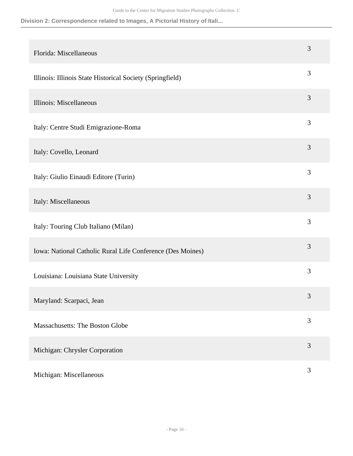**Division 2: Correspondence related to Images, A Pictorial History of Itali...**

| Florida: Miscellaneous                                     | 3 |
|------------------------------------------------------------|---|
| Illinois: Illinois State Historical Society (Springfield)  | 3 |
| Illinois: Miscellaneous                                    | 3 |
| Italy: Centre Studi Emigrazione-Roma                       | 3 |
| Italy: Covello, Leonard                                    | 3 |
| Italy: Giulio Einaudi Editore (Turin)                      | 3 |
| Italy: Miscellaneous                                       | 3 |
| Italy: Touring Club Italiano (Milan)                       | 3 |
| Iowa: National Catholic Rural Life Conference (Des Moines) | 3 |
| Louisiana: Louisiana State University                      | 3 |
| Maryland: Scarpaci, Jean                                   | 3 |
| Massachusetts: The Boston Globe                            | 3 |
| Michigan: Chrysler Corporation                             | 3 |
| Michigan: Miscellaneous                                    | 3 |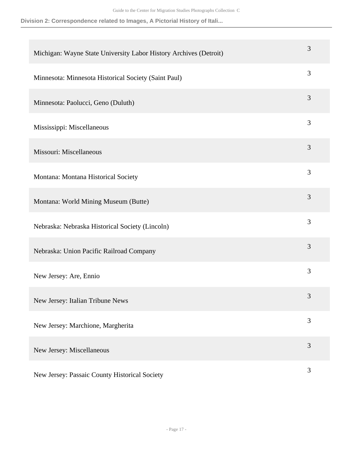| Michigan: Wayne State University Labor History Archives (Detroit) | 3 |
|-------------------------------------------------------------------|---|
| Minnesota: Minnesota Historical Society (Saint Paul)              | 3 |
| Minnesota: Paolucci, Geno (Duluth)                                | 3 |
| Mississippi: Miscellaneous                                        | 3 |
| Missouri: Miscellaneous                                           | 3 |
| Montana: Montana Historical Society                               | 3 |
| Montana: World Mining Museum (Butte)                              | 3 |
| Nebraska: Nebraska Historical Society (Lincoln)                   | 3 |
| Nebraska: Union Pacific Railroad Company                          | 3 |
| New Jersey: Are, Ennio                                            | 3 |
| New Jersey: Italian Tribune News                                  | 3 |
| New Jersey: Marchione, Margherita                                 | 3 |
| New Jersey: Miscellaneous                                         | 3 |
| New Jersey: Passaic County Historical Society                     | 3 |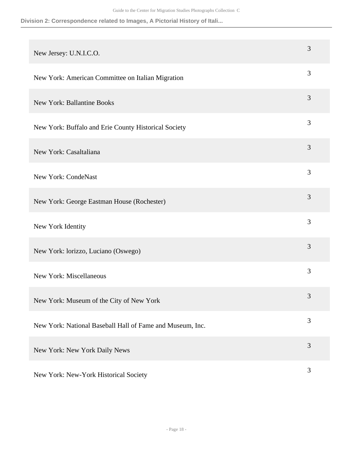| New Jersey: U.N.I.C.O.                                    | 3              |
|-----------------------------------------------------------|----------------|
| New York: American Committee on Italian Migration         | 3              |
| <b>New York: Ballantine Books</b>                         | 3              |
| New York: Buffalo and Erie County Historical Society      | 3              |
| New York: Casaltaliana                                    | 3              |
| <b>New York: CondeNast</b>                                | 3              |
| New York: George Eastman House (Rochester)                | 3              |
| New York Identity                                         | 3              |
| New York: lorizzo, Luciano (Oswego)                       | 3              |
| New York: Miscellaneous                                   | 3              |
| New York: Museum of the City of New York                  | $\mathfrak{Z}$ |
| New York: National Baseball Hall of Fame and Museum, Inc. | 3              |
| New York: New York Daily News                             | 3              |
| New York: New-York Historical Society                     | 3              |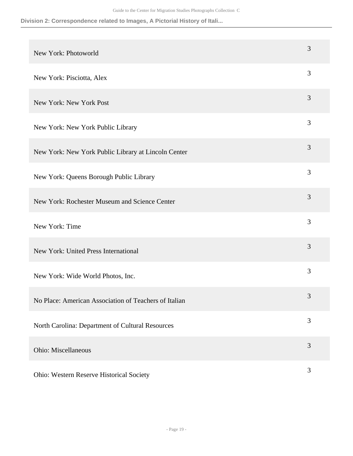| New York: Photoworld                                  | 3              |
|-------------------------------------------------------|----------------|
| New York: Pisciotta, Alex                             | 3              |
| New York: New York Post                               | 3              |
| New York: New York Public Library                     | 3              |
| New York: New York Public Library at Lincoln Center   | 3              |
| New York: Queens Borough Public Library               | 3              |
| New York: Rochester Museum and Science Center         | 3              |
| New York: Time                                        | 3              |
| New York: United Press International                  | 3              |
| New York: Wide World Photos, Inc.                     | 3              |
| No Place: American Association of Teachers of Italian | 3              |
| North Carolina: Department of Cultural Resources      | 3              |
| Ohio: Miscellaneous                                   | 3              |
| Ohio: Western Reserve Historical Society              | $\mathfrak{Z}$ |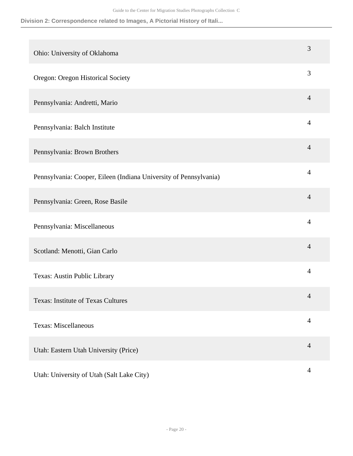**Division 2: Correspondence related to Images, A Pictorial History of Itali...**

| Ohio: University of Oklahoma                                      | 3              |
|-------------------------------------------------------------------|----------------|
| Oregon: Oregon Historical Society                                 | 3              |
| Pennsylvania: Andretti, Mario                                     | $\overline{4}$ |
| Pennsylvania: Balch Institute                                     | $\overline{4}$ |
| Pennsylvania: Brown Brothers                                      | $\overline{4}$ |
| Pennsylvania: Cooper, Eileen (Indiana University of Pennsylvania) | $\overline{4}$ |
| Pennsylvania: Green, Rose Basile                                  | $\overline{4}$ |
| Pennsylvania: Miscellaneous                                       | 4              |
| Scotland: Menotti, Gian Carlo                                     | $\overline{4}$ |
| Texas: Austin Public Library                                      | $\overline{4}$ |
| <b>Texas: Institute of Texas Cultures</b>                         | $\overline{4}$ |
| <b>Texas: Miscellaneous</b>                                       | $\overline{4}$ |
| Utah: Eastern Utah University (Price)                             | $\overline{4}$ |
| Utah: University of Utah (Salt Lake City)                         | 4              |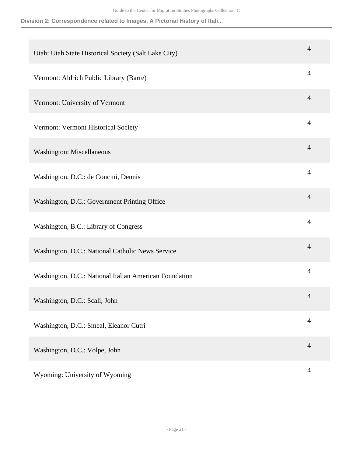| Utah: Utah State Historical Society (Salt Lake City)   | 4              |
|--------------------------------------------------------|----------------|
| Vermont: Aldrich Public Library (Barre)                | 4              |
| Vermont: University of Vermont                         | $\overline{4}$ |
| Vermont: Vermont Historical Society                    | 4              |
| Washington: Miscellaneous                              | $\overline{4}$ |
| Washington, D.C.: de Concini, Dennis                   | $\overline{4}$ |
| Washington, D.C.: Government Printing Office           | 4              |
| Washington, B.C.: Library of Congress                  | $\overline{4}$ |
| Washington, D.C.: National Catholic News Service       | $\overline{4}$ |
| Washington, D.C.: National Italian American Foundation | $\overline{4}$ |
| Washington, D.C.: Scali, John                          | $\overline{4}$ |
| Washington, D.C.: Smeal, Eleanor Cutri                 | $\overline{4}$ |
| Washington, D.C.: Volpe, John                          | $\overline{4}$ |
| Wyoming: University of Wyoming                         | $\overline{4}$ |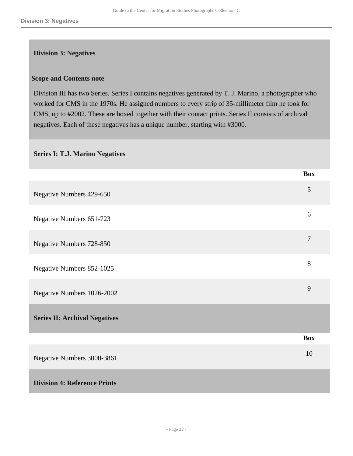#### <span id="page-21-0"></span>**Division 3: Negatives**

#### **Scope and Contents note**

Division III has two Series. Series I contains negatives generated by T. J. Marino, a photographer who worked for CMS in the 1970s. He assigned numbers to every strip of 35-millimeter film he took for CMS, up to #2002. These are boxed together with their contact prints. Series II consists of archival negatives. Each of these negatives has a unique number, starting with #3000.

#### **Series I: T.J. Marino Negatives**

<span id="page-21-1"></span>

|                                      | <b>Box</b>       |
|--------------------------------------|------------------|
| Negative Numbers 429-650             | 5                |
| Negative Numbers 651-723             | 6                |
| Negative Numbers 728-850             | $\boldsymbol{7}$ |
| Negative Numbers 852-1025            | 8                |
| Negative Numbers 1026-2002           | 9                |
| <b>Series II: Archival Negatives</b> |                  |
|                                      | <b>Box</b>       |
| Negative Numbers 3000-3861           | 10               |
| <b>Division 4: Reference Prints</b>  |                  |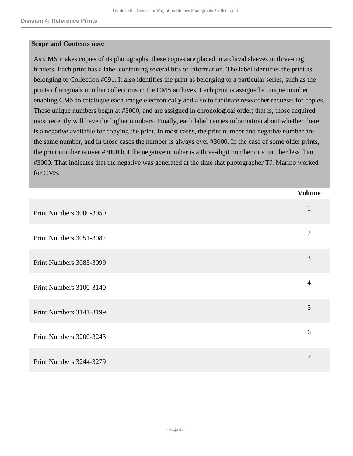#### **Scope and Contents note**

As CMS makes copies of its photographs, these copies are placed in archival sleeves in three-ring binders. Each print has a label containing several bits of information. The label identifies the print as belonging to Collection #091. It also identifies the print as belonging to a particular series, such as the prints of originals in other collections in the CMS archives. Each print is assigned a unique number, enabling CMS to catalogue each image electronically and also to facilitate researcher requests for copies. These unique numbers begin at #3000, and are assigned in chronological order; that is, those acquired most recently will have the higher numbers. Finally, each label carries information about whether there is a negative available for copying the print. In most cases, the print number and negative number are the same number, and in those cases the number is always over #3000. In the case of some older prints, the print number is over #3000 but the negative number is a three-digit number or a number less than #3000. That indicates that the negative was generated at the time that photographer TJ. Marino worked for CMS.

|                         | <b>Volume</b>  |
|-------------------------|----------------|
| Print Numbers 3000-3050 | $\mathbf{1}$   |
| Print Numbers 3051-3082 | $\overline{2}$ |
| Print Numbers 3083-3099 | 3              |
| Print Numbers 3100-3140 | $\overline{4}$ |
| Print Numbers 3141-3199 | 5              |
| Print Numbers 3200-3243 | 6              |
| Print Numbers 3244-3279 | 7              |